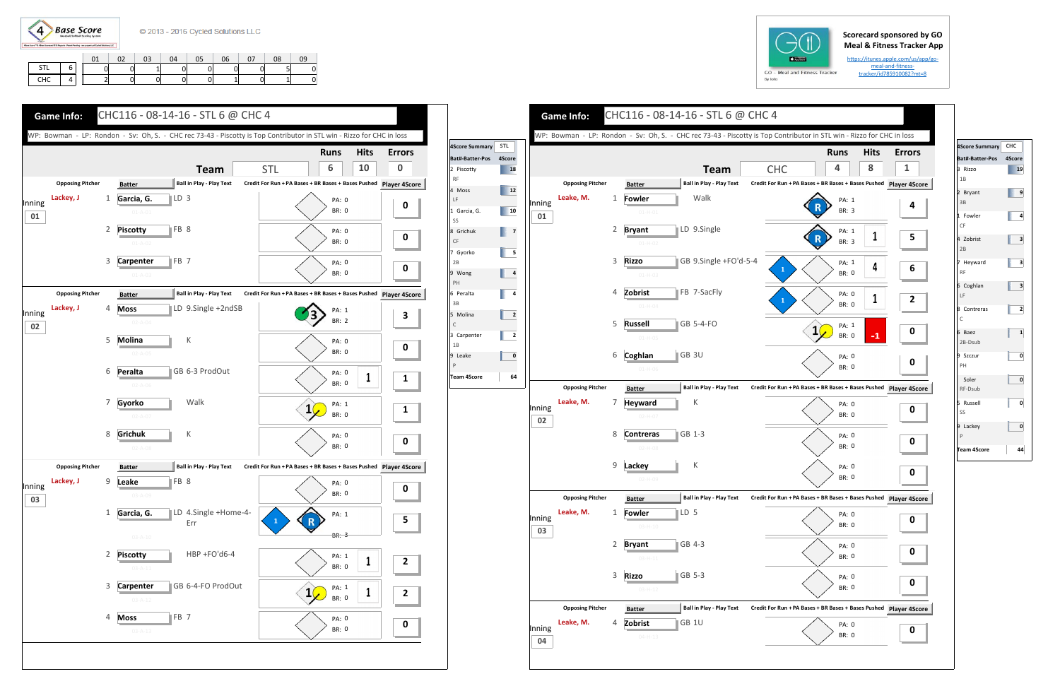

## **Scorecard sponsored by GO Meal & Fitness Tracker App**

https://itunes.apple.com/us/app/go‐ meal-and-fitnesstracker/id785910082?mt=8

|            |   | ັ້ | 03 | 04 | 05 | 06 | 07 | 08 | n۹ |
|------------|---|----|----|----|----|----|----|----|----|
| <b>STL</b> | ∽ |    |    |    |    |    |    |    |    |
| CHC        |   |    |    |    |    |    |    |    |    |







| 4Score Summary CHC       |              |
|--------------------------|--------------|
| <b>Bat#-Batter-Pos</b>   | 4Score       |
| 3 Rizzo<br>1B            | 19           |
| 2 Bryant<br>3B           | 9            |
| 1 Fowler<br>CF           | 4            |
| 4 Zobrist<br>2B          | 3            |
| 7 Heyward<br><b>RF</b>   | з            |
| 6 Coghlan<br>LF          | 3            |
| 8 Contreras<br>C         | 2            |
| 6 Baez<br>2B-Dsub        | $\mathbf{1}$ |
| 9 Szczur<br>PH           | 0            |
| Soler<br>RF-Dsub         | 0            |
| 5 Russell<br>SS          | 0            |
| 9 Lackey<br>$\mathsf{P}$ | 0            |
| Team 4Score              | 44           |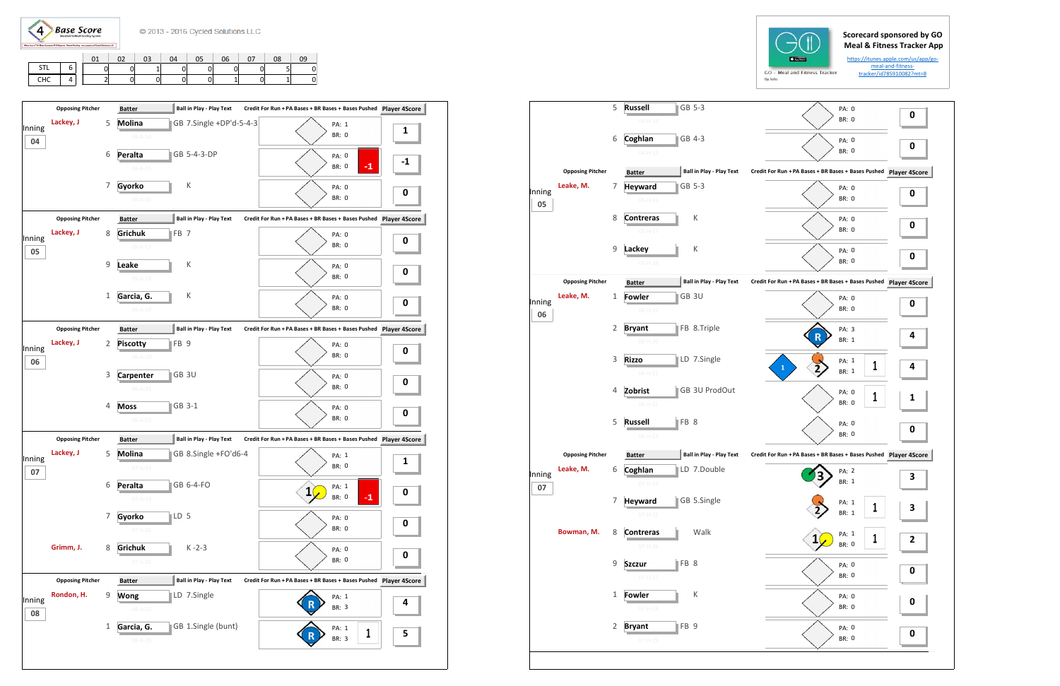$\langle 4 \rangle$ **Base Score** 

|        | <b>Opposing Pitcher</b> |              | <b>Batter</b>                  | <b>Ball in Play - Play Text</b> | Credit For Run + PA Bases + BR Bases + Bases Pushed Player 4Score |                        |      |
|--------|-------------------------|--------------|--------------------------------|---------------------------------|-------------------------------------------------------------------|------------------------|------|
| Inning | Lackey, J               | 5            | <b>Molina</b><br>$04 - A - 14$ | GB 7.Single +DP'd-5-4-3         |                                                                   | PA: 1<br><b>BR: 0</b>  | 1    |
| 04     |                         | 6            | Peralta                        | GB 5-4-3-DP                     |                                                                   | PA: 0                  |      |
|        |                         |              | $04 - A - 15$                  |                                 |                                                                   | $-1$<br><b>BR: 0</b>   | $-1$ |
|        |                         | 7            | Gyorko                         | К                               |                                                                   | PA: 0                  | 0    |
|        |                         |              | $04 - A - 16$                  |                                 |                                                                   | <b>BR: 0</b>           |      |
|        | <b>Opposing Pitcher</b> |              | <b>Batter</b>                  | <b>Ball in Play - Play Text</b> | Credit For Run + PA Bases + BR Bases + Bases Pushed Player 4Score |                        |      |
| Inning | Lackey, J               | 8            | Grichuk                        | FB <sub>7</sub>                 |                                                                   | PA: 0                  | 0    |
| 05     |                         |              | $05 - A - 17$                  |                                 |                                                                   | <b>BR: 0</b>           |      |
|        |                         | 9            | Leake                          | К                               |                                                                   | PA: 0                  |      |
|        |                         |              | $05 - A - 18$                  |                                 |                                                                   | <b>BR: 0</b>           | 0    |
|        |                         | 1            | Garcia, G.                     | К                               |                                                                   | PA: 0                  |      |
|        |                         |              | $05 - A - 19$                  |                                 |                                                                   | <b>BR: 0</b>           | 0    |
|        | <b>Opposing Pitcher</b> |              | <b>Batter</b>                  | <b>Ball in Play - Play Text</b> | Credit For Run + PA Bases + BR Bases + Bases Pushed Player 4Score |                        |      |
| Inning | Lackey, J               | 2            | <b>Piscotty</b>                | FB <sub>9</sub>                 |                                                                   | PA: 0                  |      |
| 06     |                         |              | 06-A-20                        |                                 |                                                                   | BR: 0                  | 0    |
|        |                         | 3            | <b>Carpenter</b>               | GB 3U                           |                                                                   | PA: 0                  |      |
|        |                         |              | $06 - A - 21$                  |                                 |                                                                   | BR: 0                  | 0    |
|        |                         | 4            | <b>Moss</b>                    | GB 3-1                          |                                                                   | PA: 0                  |      |
|        |                         |              | $06 - A - 22$                  |                                 |                                                                   | BR: 0                  | 0    |
|        | <b>Opposing Pitcher</b> |              | <b>Batter</b>                  | <b>Ball in Play - Play Text</b> | Credit For Run + PA Bases + BR Bases + Bases Pushed Player 4Score |                        |      |
|        | Lackey, J               | 5            | <b>Molina</b>                  | GB 8.Single +FO'd6-4            |                                                                   |                        |      |
| Inning |                         |              | $07 - A - 23$                  |                                 |                                                                   | PA: 1<br>BR: 0         | 1    |
| 07     |                         |              |                                |                                 |                                                                   |                        |      |
|        |                         | 6            | Peralta                        | GB 6-4-FO                       | 1                                                                 | PA: 1<br>$-1$<br>BR: 0 | 0    |
|        |                         |              | $07 - A - 24$                  |                                 |                                                                   |                        |      |
|        |                         | 7            | Gyorko                         | LD <sub>5</sub>                 |                                                                   | PA: 0                  | 0    |
|        |                         |              | $07 - A - 25$                  |                                 |                                                                   | <b>BR: 0</b>           |      |
|        | Grimm, J.               | 8            | Grichuk                        | $K - 2 - 3$                     |                                                                   | PA: 0                  | 0    |
|        |                         |              | $07 - A - 26$                  |                                 |                                                                   | <b>BR: 0</b>           |      |
|        | <b>Opposing Pitcher</b> |              | <b>Batter</b>                  | <b>Ball in Play - Play Text</b> | Credit For Run + PA Bases + BR Bases + Bases Pushed Player 4Score |                        |      |
| Inning | Rondon, H.              | 9            | Wong                           | LD 7.Single                     |                                                                   | PA: 1                  | 4    |
| 08     |                         |              | $08 - A - 27$                  |                                 |                                                                   | BR: 3                  |      |
|        |                         | $\mathbf{1}$ | Garcia, G.                     | GB 1.Single (bunt)              |                                                                   | PA: 1                  |      |
|        |                         |              | $08 - A - 28$                  |                                 |                                                                   | 1<br>BR: 3             | 5    |
|        |                         |              |                                |                                 |                                                                   |                        |      |

|  |            |   | 02 <sup>2</sup> | 03 <sup>7</sup> | 04 | 05 | 06 | 07 | 08 | 09 |   |
|--|------------|---|-----------------|-----------------|----|----|----|----|----|----|---|
|  | <b>STL</b> | 6 | <sub>0</sub>    | $\Omega$        |    |    | 0  | ΩI |    |    |   |
|  | CHC        | 4 | $\mathcal{L}$   |                 | 0  |    | 0  | ÷. |    |    | u |



|              |                         | 5           | <b>Russell</b><br>GB 5-3<br>$04 - H - 14$         | PA: 0<br><b>BR: 0</b>                                         | 0                       |
|--------------|-------------------------|-------------|---------------------------------------------------|---------------------------------------------------------------|-------------------------|
|              |                         | 6           | Coghlan<br><b>IGB</b> 4-3                         | PA: 0                                                         | 0                       |
|              |                         |             | $04 - H - 15$                                     | <b>BR: 0</b>                                                  |                         |
|              | <b>Opposing Pitcher</b> |             | <b>Ball in Play - Play Text</b><br><b>Batter</b>  | Credit For Run + PA Bases + BR Bases + Bases Pushed           | Player 49               |
| Inning       | Leake, M.               | 7           | GB 5-3<br><b>Heyward</b><br>$05-H-16$             | PA: 0<br><b>BR: 0</b>                                         | 0                       |
| 05           |                         | 8           | К<br><b>Contreras</b>                             | PA: 0                                                         |                         |
|              |                         |             | $05-H-17$                                         | BR: 0                                                         | 0                       |
|              |                         | 9           | Lackey<br>К                                       | PA: 0                                                         | 0                       |
|              |                         |             | $05-H-18$                                         | <b>BR: 0</b>                                                  |                         |
|              | <b>Opposing Pitcher</b> |             | <b>Ball in Play - Play Text</b><br><b>Batter</b>  | Credit For Run + PA Bases + BR Bases + Bases Pushed Player 4S |                         |
| Inning<br>06 | Leake, M.               | 1           | GB 3U<br><b>Fowler</b><br>$06 - H - 19$           | PA: 0<br>BR: 0                                                | 0                       |
|              |                         | 2           | FB 8.Triple<br><b>Bryant</b>                      | PA: 3                                                         |                         |
|              |                         |             | 06-H-20                                           | BR: 1                                                         | 4                       |
|              |                         | 3           | LD 7.Single<br><b>Rizzo</b><br>$06-H-21$          | PA: 1<br>1<br>1<br>BR: 1                                      | 4                       |
|              |                         | 4           | GB 3U ProdOut<br>Zobrist                          | PA: 0<br>1                                                    | 1                       |
|              |                         |             | $06-H-22$                                         | <b>BR: 0</b>                                                  |                         |
|              |                         | 5           | FB 8<br><b>Russell</b><br>$06-H-23$               | PA: 0<br><b>BR: 0</b>                                         | 0                       |
|              |                         |             |                                                   |                                                               |                         |
|              | <b>Opposing Pitcher</b> |             | <b>Ball in Play - Play Text</b><br><b>Batter</b>  | Credit For Run + PA Bases + BR Bases + Bases Pushed Player 4S |                         |
| Inning<br>07 | Leake, M.               | 6           | LD 7.Double<br>Coghlan<br>$07 - H - 24$           | PA: 2<br>BR: 1                                                | 3                       |
|              |                         | 7           | <b>Heyward</b><br>GB 5.Single                     | PA: 1<br>1                                                    | 3                       |
|              |                         |             | $07 - H - 25$                                     | BR: 1                                                         |                         |
|              | Bowman, M.              | 8           | Walk<br><b>Contreras</b>                          | PA: 1<br>1<br><b>BR: 0</b>                                    | $\overline{\mathbf{c}}$ |
|              |                         |             | $07 - H - 26$                                     |                                                               |                         |
|              |                         | 9           | FB 8<br><b>Szczur</b><br>$07 - H - 27$            | PA: 0<br>BR: 0                                                | 0                       |
|              |                         | $\mathbf 1$ | К<br><b>Fowler</b>                                | PA: 0                                                         | 0                       |
|              |                         |             | $07 - H - 28$                                     | <b>BR: 0</b>                                                  |                         |
|              |                         | 2           | FB <sub>9</sub><br><b>Bryant</b><br>$07 - H - 29$ | PA: 0<br>BR: 0                                                | 0                       |
|              |                         |             |                                                   |                                                               |                         |
|              |                         |             |                                                   |                                                               |                         |